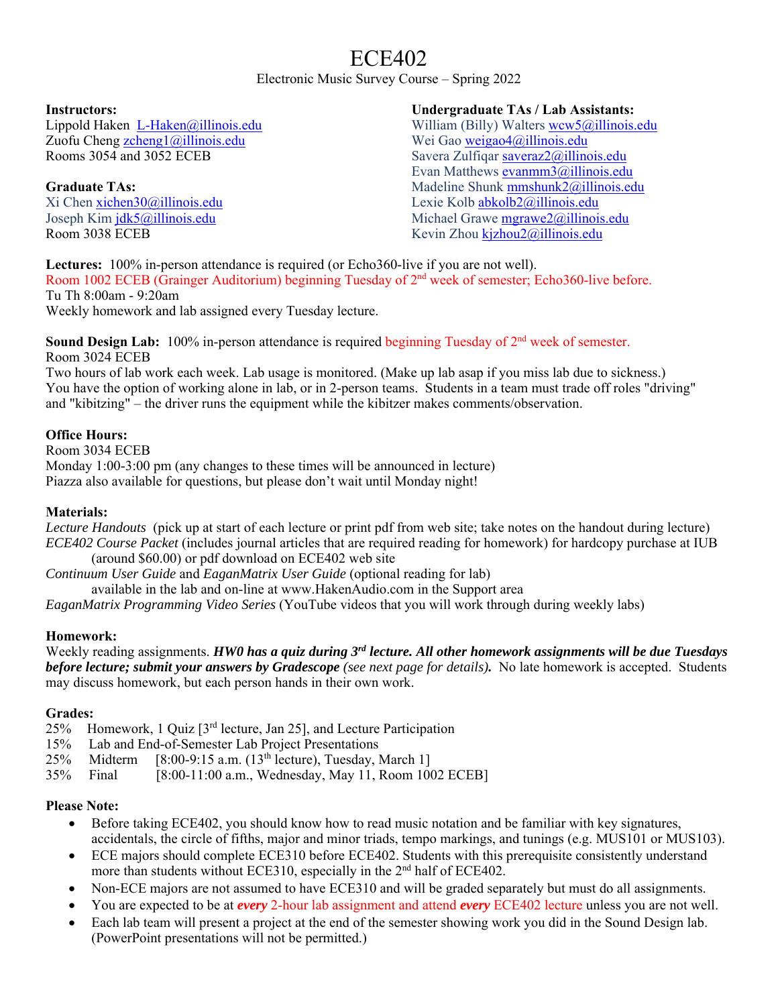# ECE402

Electronic Music Survey Course – Spring 2022

#### **Instructors:**

Lippold Haken L-Haken@illinois.edu Zuofu Cheng zcheng1@illinois.edu Rooms 3054 and 3052 ECEB

## **Graduate TAs:**

Xi Chen xichen30@illinois.edu Joseph Kim jdk5@illinois.edu Room 3038 ECEB

#### **Undergraduate TAs / Lab Assistants:**

William (Billy) Walters wcw5@illinois.edu Wei Gao weigao4@illinois.edu Savera Zulfiqar saveraz2@illinois.edu Evan Matthews evanmm3@illinois.edu Madeline Shunk mmshunk2@illinois.edu Lexie Kolb abkolb2@illinois.edu Michael Grawe mgrawe2@illinois.edu Kevin Zhou kjzhou2@illinois.edu

Lectures: 100% in-person attendance is required (or Echo360-live if you are not well). Room 1002 ECEB (Grainger Auditorium) beginning Tuesday of 2nd week of semester; Echo360-live before. Tu Th 8:00am - 9:20am

Weekly homework and lab assigned every Tuesday lecture.

**Sound Design Lab:** 100% in-person attendance is required beginning Tuesday of 2<sup>nd</sup> week of semester. Room 3024 ECEB

Two hours of lab work each week. Lab usage is monitored. (Make up lab asap if you miss lab due to sickness.) You have the option of working alone in lab, or in 2-person teams. Students in a team must trade off roles "driving" and "kibitzing" – the driver runs the equipment while the kibitzer makes comments/observation.

## **Office Hours:**

Room 3034 ECEB Monday 1:00-3:00 pm (any changes to these times will be announced in lecture) Piazza also available for questions, but please don't wait until Monday night!

# **Materials:**

*Lecture Handouts* (pick up at start of each lecture or print pdf from web site; take notes on the handout during lecture) *ECE402 Course Packet* (includes journal articles that are required reading for homework) for hardcopy purchase at IUB

(around \$60.00) or pdf download on ECE402 web site *Continuum User Guide* and *EaganMatrix User Guide* (optional reading for lab)

available in the lab and on-line at www.HakenAudio.com in the Support area

*EaganMatrix Programming Video Series* (YouTube videos that you will work through during weekly labs)

#### **Homework:**

Weekly reading assignments. *HW0 has a quiz during 3rd lecture. All other homework assignments will be due Tuesdays before lecture; submit your answers by Gradescope (see next page for details).* No late homework is accepted. Students may discuss homework, but each person hands in their own work.

#### **Grades:**

- 25% Homework, 1 Quiz [3rd lecture, Jan 25], and Lecture Participation
- 15% Lab and End-of-Semester Lab Project Presentations
- 25% Midterm  $[8:00-9:15 \text{ a.m.} (13^{\text{th}} \text{ lecture})$ , Tuesday, March 1]
- 35% Final [8:00-11:00 a.m., Wednesday, May 11, Room 1002 ECEB]

#### **Please Note:**

- Before taking ECE402, you should know how to read music notation and be familiar with key signatures, accidentals, the circle of fifths, major and minor triads, tempo markings, and tunings (e.g. MUS101 or MUS103).
- ECE majors should complete ECE310 before ECE402. Students with this prerequisite consistently understand more than students without ECE310, especially in the 2<sup>nd</sup> half of ECE402.
- Non-ECE majors are not assumed to have ECE310 and will be graded separately but must do all assignments.
- You are expected to be at *every* 2-hour lab assignment and attend *every* ECE402 lecture unless you are not well.
- Each lab team will present a project at the end of the semester showing work you did in the Sound Design lab. (PowerPoint presentations will not be permitted.)